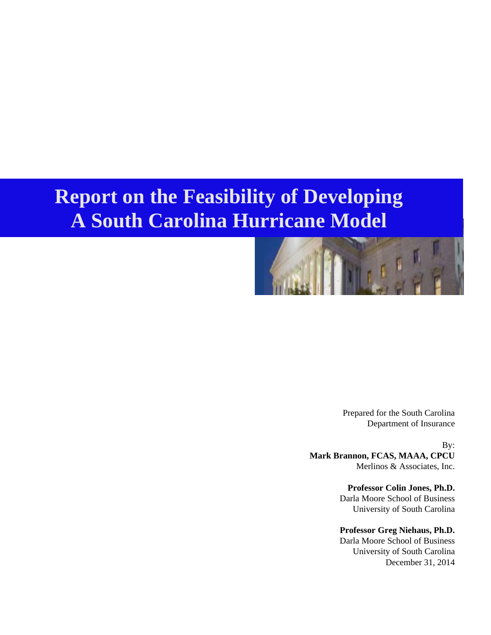# **Report on the Feasibility of Developing A South Carolina Hurricane Model**



Prepared for the South Carolina Department of Insurance

By: **Mark Brannon, FCAS, MAAA, CPCU**  Merlinos & Associates, Inc.

> **Professor Colin Jones, Ph.D.**  Darla Moore School of Business University of South Carolina

> **Professor Greg Niehaus, Ph.D.** Darla Moore School of Business University of South Carolina December 31, 2014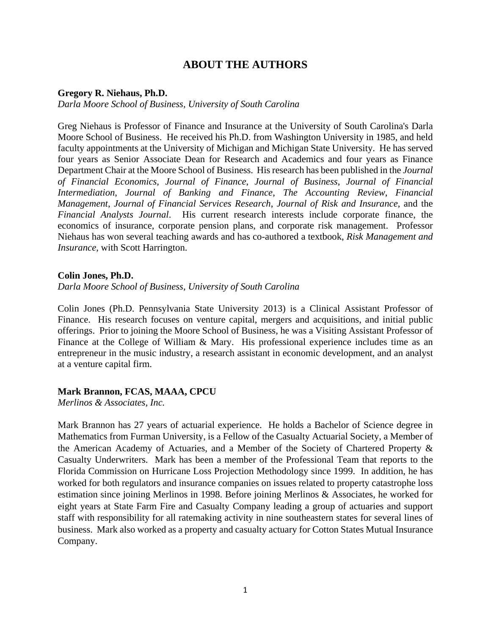#### **ABOUT THE AUTHORS**

#### **Gregory R. Niehaus, Ph.D.**

*Darla Moore School of Business, University of South Carolina* 

Greg Niehaus is Professor of Finance and Insurance at the University of South Carolina's Darla Moore School of Business. He received his Ph.D. from Washington University in 1985, and held faculty appointments at the University of Michigan and Michigan State University. He has served four years as Senior Associate Dean for Research and Academics and four years as Finance Department Chair at the Moore School of Business. His research has been published in the *Journal of Financial Economics*, *Journal of Finance*, *Journal of Business*, *Journal of Financial Intermediation*, *Journal of Banking and Finance*, *The Accounting Review*, *Financial Management*, *Journal of Financial Services Research*, *Journal of Risk and Insurance*, and the *Financial Analysts Journal*. His current research interests include corporate finance, the economics of insurance, corporate pension plans, and corporate risk management. Professor Niehaus has won several teaching awards and has co-authored a textbook, *Risk Management and Insurance*, with Scott Harrington.

#### **Colin Jones, Ph.D.**

*Darla Moore School of Business, University of South Carolina* 

Colin Jones (Ph.D. Pennsylvania State University 2013) is a Clinical Assistant Professor of Finance. His research focuses on venture capital, mergers and acquisitions, and initial public offerings. Prior to joining the Moore School of Business, he was a Visiting Assistant Professor of Finance at the College of William & Mary. His professional experience includes time as an entrepreneur in the music industry, a research assistant in economic development, and an analyst at a venture capital firm.

#### **Mark Brannon, FCAS, MAAA, CPCU**

*Merlinos & Associates, Inc.* 

Mark Brannon has 27 years of actuarial experience. He holds a Bachelor of Science degree in Mathematics from Furman University, is a Fellow of the Casualty Actuarial Society, a Member of the American Academy of Actuaries, and a Member of the Society of Chartered Property & Casualty Underwriters. Mark has been a member of the Professional Team that reports to the Florida Commission on Hurricane Loss Projection Methodology since 1999. In addition, he has worked for both regulators and insurance companies on issues related to property catastrophe loss estimation since joining Merlinos in 1998. Before joining Merlinos & Associates, he worked for eight years at State Farm Fire and Casualty Company leading a group of actuaries and support staff with responsibility for all ratemaking activity in nine southeastern states for several lines of business. Mark also worked as a property and casualty actuary for Cotton States Mutual Insurance Company.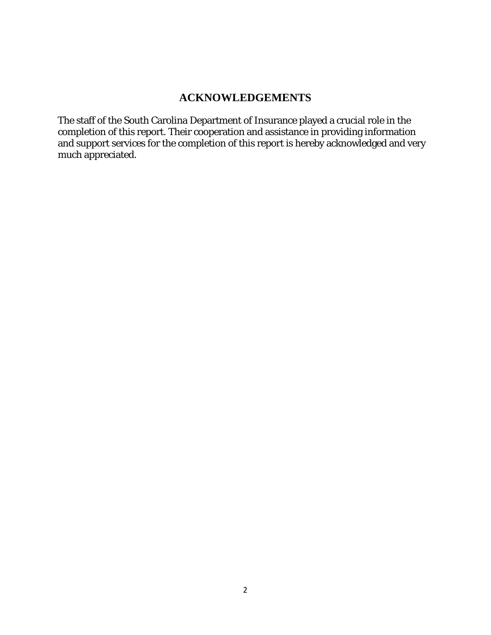# **ACKNOWLEDGEMENTS**

The staff of the South Carolina Department of Insurance played a crucial role in the completion of this report. Their cooperation and assistance in providing information and support services for the completion of this report is hereby acknowledged and very much appreciated.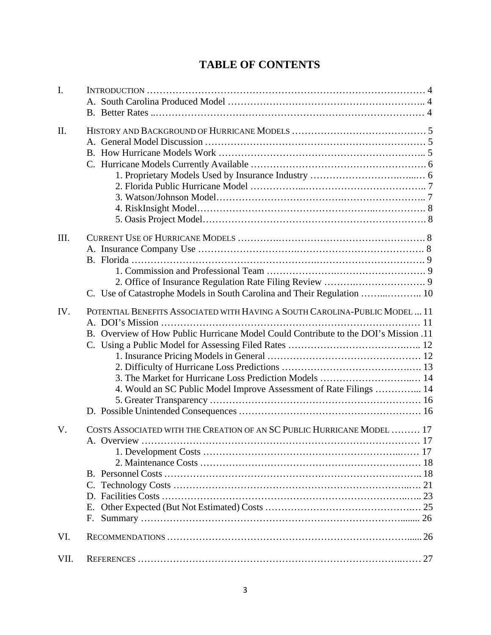# **TABLE OF CONTENTS**

| $\overline{I}$ . |                                                                                     |  |
|------------------|-------------------------------------------------------------------------------------|--|
|                  |                                                                                     |  |
| II.              |                                                                                     |  |
|                  |                                                                                     |  |
|                  |                                                                                     |  |
|                  |                                                                                     |  |
|                  |                                                                                     |  |
|                  |                                                                                     |  |
|                  |                                                                                     |  |
|                  |                                                                                     |  |
| III.             |                                                                                     |  |
|                  |                                                                                     |  |
|                  |                                                                                     |  |
|                  |                                                                                     |  |
|                  |                                                                                     |  |
|                  |                                                                                     |  |
| IV.              | POTENTIAL BENEFITS ASSOCIATED WITH HAVING A SOUTH CAROLINA-PUBLIC MODEL  11         |  |
|                  |                                                                                     |  |
|                  | B. Overview of How Public Hurricane Model Could Contribute to the DOI's Mission .11 |  |
|                  |                                                                                     |  |
|                  |                                                                                     |  |
|                  |                                                                                     |  |
|                  |                                                                                     |  |
|                  | 4. Would an SC Public Model Improve Assessment of Rate Filings  14                  |  |
|                  |                                                                                     |  |
|                  |                                                                                     |  |
| V.               | COSTS ASSOCIATED WITH THE CREATION OF AN SC PUBLIC HURRICANE MODEL  17              |  |
|                  |                                                                                     |  |
|                  |                                                                                     |  |
|                  |                                                                                     |  |
|                  |                                                                                     |  |
|                  |                                                                                     |  |
|                  |                                                                                     |  |
|                  | Е.                                                                                  |  |
|                  | F.                                                                                  |  |
| VI.              |                                                                                     |  |
| VII.             |                                                                                     |  |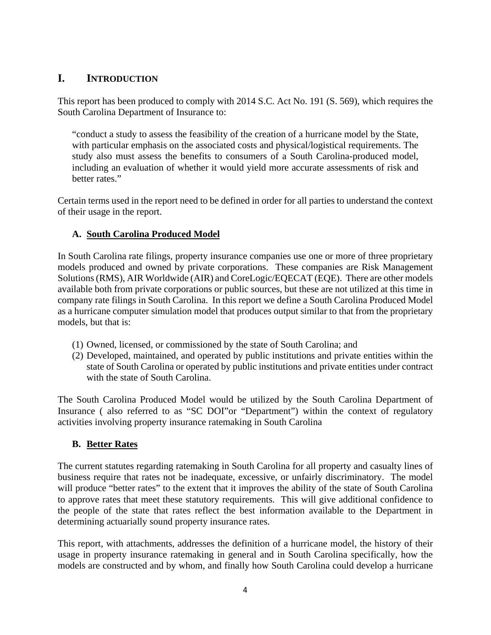# **I. INTRODUCTION**

This report has been produced to comply with 2014 S.C. Act No. 191 (S. 569), which requires the South Carolina Department of Insurance to:

"conduct a study to assess the feasibility of the creation of a hurricane model by the State, with particular emphasis on the associated costs and physical/logistical requirements. The study also must assess the benefits to consumers of a South Carolina-produced model, including an evaluation of whether it would yield more accurate assessments of risk and better rates."

Certain terms used in the report need to be defined in order for all parties to understand the context of their usage in the report.

### **A. South Carolina Produced Model**

In South Carolina rate filings, property insurance companies use one or more of three proprietary models produced and owned by private corporations. These companies are Risk Management Solutions (RMS), AIR Worldwide (AIR) and CoreLogic/EQECAT (EQE). There are other models available both from private corporations or public sources, but these are not utilized at this time in company rate filings in South Carolina. In this report we define a South Carolina Produced Model as a hurricane computer simulation model that produces output similar to that from the proprietary models, but that is:

- (1) Owned, licensed, or commissioned by the state of South Carolina; and
- (2) Developed, maintained, and operated by public institutions and private entities within the state of South Carolina or operated by public institutions and private entities under contract with the state of South Carolina.

The South Carolina Produced Model would be utilized by the South Carolina Department of Insurance ( also referred to as "SC DOI"or "Department") within the context of regulatory activities involving property insurance ratemaking in South Carolina

#### **B. Better Rates**

The current statutes regarding ratemaking in South Carolina for all property and casualty lines of business require that rates not be inadequate, excessive, or unfairly discriminatory. The model will produce "better rates" to the extent that it improves the ability of the state of South Carolina to approve rates that meet these statutory requirements. This will give additional confidence to the people of the state that rates reflect the best information available to the Department in determining actuarially sound property insurance rates.

This report, with attachments, addresses the definition of a hurricane model, the history of their usage in property insurance ratemaking in general and in South Carolina specifically, how the models are constructed and by whom, and finally how South Carolina could develop a hurricane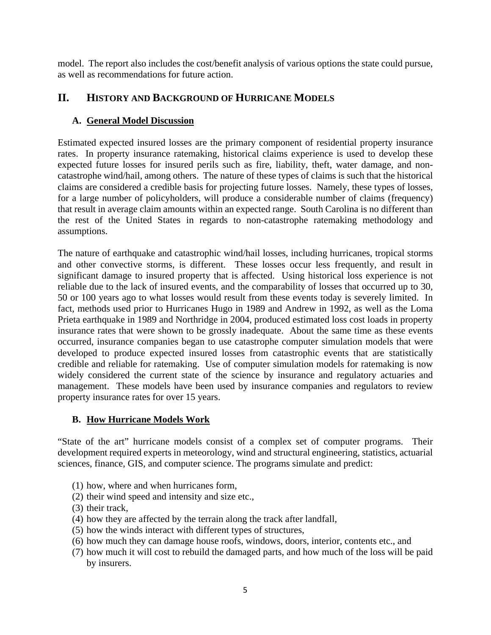model. The report also includes the cost/benefit analysis of various options the state could pursue, as well as recommendations for future action.

### **II. HISTORY AND BACKGROUND OF HURRICANE MODELS**

#### **A. General Model Discussion**

Estimated expected insured losses are the primary component of residential property insurance rates. In property insurance ratemaking, historical claims experience is used to develop these expected future losses for insured perils such as fire, liability, theft, water damage, and noncatastrophe wind/hail, among others. The nature of these types of claims is such that the historical claims are considered a credible basis for projecting future losses. Namely, these types of losses, for a large number of policyholders, will produce a considerable number of claims (frequency) that result in average claim amounts within an expected range. South Carolina is no different than the rest of the United States in regards to non-catastrophe ratemaking methodology and assumptions.

The nature of earthquake and catastrophic wind/hail losses, including hurricanes, tropical storms and other convective storms, is different. These losses occur less frequently, and result in significant damage to insured property that is affected. Using historical loss experience is not reliable due to the lack of insured events, and the comparability of losses that occurred up to 30, 50 or 100 years ago to what losses would result from these events today is severely limited. In fact, methods used prior to Hurricanes Hugo in 1989 and Andrew in 1992, as well as the Loma Prieta earthquake in 1989 and Northridge in 2004, produced estimated loss cost loads in property insurance rates that were shown to be grossly inadequate. About the same time as these events occurred, insurance companies began to use catastrophe computer simulation models that were developed to produce expected insured losses from catastrophic events that are statistically credible and reliable for ratemaking. Use of computer simulation models for ratemaking is now widely considered the current state of the science by insurance and regulatory actuaries and management. These models have been used by insurance companies and regulators to review property insurance rates for over 15 years.

#### **B. How Hurricane Models Work**

"State of the art" hurricane models consist of a complex set of computer programs. Their development required experts in meteorology, wind and structural engineering, statistics, actuarial sciences, finance, GIS, and computer science. The programs simulate and predict:

- (1) how, where and when hurricanes form,
- (2) their wind speed and intensity and size etc.,
- (3) their track,
- (4) how they are affected by the terrain along the track after landfall,
- (5) how the winds interact with different types of structures,
- (6) how much they can damage house roofs, windows, doors, interior, contents etc., and
- (7) how much it will cost to rebuild the damaged parts, and how much of the loss will be paid by insurers.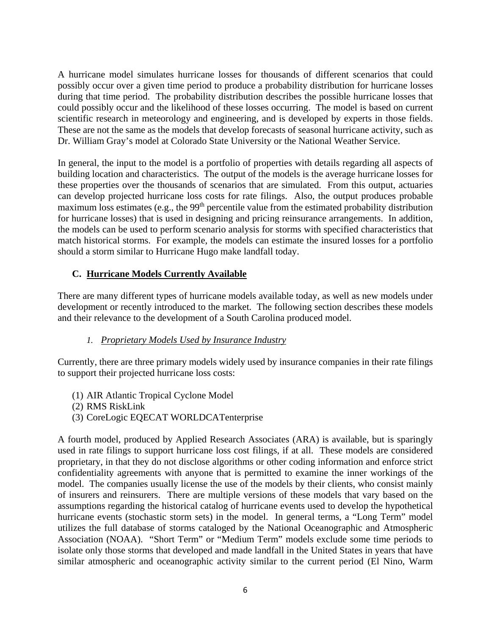A hurricane model simulates hurricane losses for thousands of different scenarios that could possibly occur over a given time period to produce a probability distribution for hurricane losses during that time period. The probability distribution describes the possible hurricane losses that could possibly occur and the likelihood of these losses occurring. The model is based on current scientific research in meteorology and engineering, and is developed by experts in those fields. These are not the same as the models that develop forecasts of seasonal hurricane activity, such as Dr. William Gray's model at Colorado State University or the National Weather Service.

In general, the input to the model is a portfolio of properties with details regarding all aspects of building location and characteristics. The output of the models is the average hurricane losses for these properties over the thousands of scenarios that are simulated. From this output, actuaries can develop projected hurricane loss costs for rate filings. Also, the output produces probable maximum loss estimates (e.g., the 99<sup>th</sup> percentile value from the estimated probability distribution for hurricane losses) that is used in designing and pricing reinsurance arrangements. In addition, the models can be used to perform scenario analysis for storms with specified characteristics that match historical storms. For example, the models can estimate the insured losses for a portfolio should a storm similar to Hurricane Hugo make landfall today.

#### **C. Hurricane Models Currently Available**

There are many different types of hurricane models available today, as well as new models under development or recently introduced to the market. The following section describes these models and their relevance to the development of a South Carolina produced model.

#### *1. Proprietary Models Used by Insurance Industry*

Currently, there are three primary models widely used by insurance companies in their rate filings to support their projected hurricane loss costs:

- (1) AIR Atlantic Tropical Cyclone Model
- (2) RMS RiskLink
- (3) CoreLogic EQECAT WORLDCATenterprise

A fourth model, produced by Applied Research Associates (ARA) is available, but is sparingly used in rate filings to support hurricane loss cost filings, if at all. These models are considered proprietary, in that they do not disclose algorithms or other coding information and enforce strict confidentiality agreements with anyone that is permitted to examine the inner workings of the model. The companies usually license the use of the models by their clients, who consist mainly of insurers and reinsurers. There are multiple versions of these models that vary based on the assumptions regarding the historical catalog of hurricane events used to develop the hypothetical hurricane events (stochastic storm sets) in the model. In general terms, a "Long Term" model utilizes the full database of storms cataloged by the National Oceanographic and Atmospheric Association (NOAA). "Short Term" or "Medium Term" models exclude some time periods to isolate only those storms that developed and made landfall in the United States in years that have similar atmospheric and oceanographic activity similar to the current period (El Nino, Warm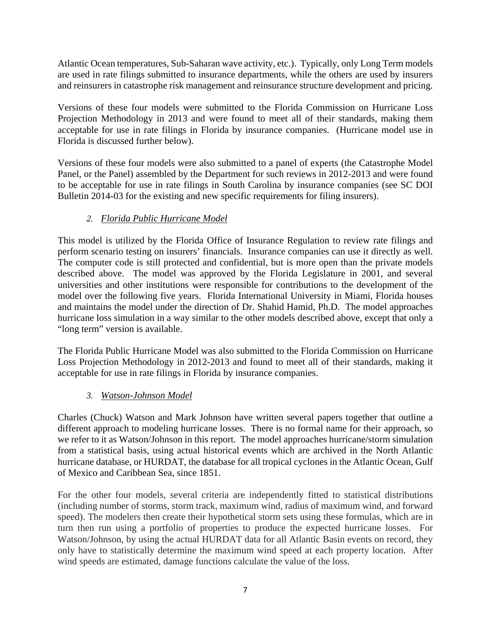Atlantic Ocean temperatures, Sub-Saharan wave activity, etc.). Typically, only Long Term models are used in rate filings submitted to insurance departments, while the others are used by insurers and reinsurers in catastrophe risk management and reinsurance structure development and pricing.

Versions of these four models were submitted to the Florida Commission on Hurricane Loss Projection Methodology in 2013 and were found to meet all of their standards, making them acceptable for use in rate filings in Florida by insurance companies. (Hurricane model use in Florida is discussed further below).

Versions of these four models were also submitted to a panel of experts (the Catastrophe Model Panel, or the Panel) assembled by the Department for such reviews in 2012-2013 and were found to be acceptable for use in rate filings in South Carolina by insurance companies (see SC DOI Bulletin 2014-03 for the existing and new specific requirements for filing insurers).

#### *2. Florida Public Hurricane Model*

This model is utilized by the Florida Office of Insurance Regulation to review rate filings and perform scenario testing on insurers' financials. Insurance companies can use it directly as well. The computer code is still protected and confidential, but is more open than the private models described above. The model was approved by the Florida Legislature in 2001, and several universities and other institutions were responsible for contributions to the development of the model over the following five years. Florida International University in Miami, Florida houses and maintains the model under the direction of Dr. Shahid Hamid, Ph.D. The model approaches hurricane loss simulation in a way similar to the other models described above, except that only a "long term" version is available.

The Florida Public Hurricane Model was also submitted to the Florida Commission on Hurricane Loss Projection Methodology in 2012-2013 and found to meet all of their standards, making it acceptable for use in rate filings in Florida by insurance companies.

#### *3. Watson-Johnson Model*

Charles (Chuck) Watson and Mark Johnson have written several papers together that outline a different approach to modeling hurricane losses. There is no formal name for their approach, so we refer to it as Watson/Johnson in this report. The model approaches hurricane/storm simulation from a statistical basis, using actual historical events which are archived in the North Atlantic hurricane database, or HURDAT, the database for all tropical cyclones in the Atlantic Ocean, Gulf of Mexico and Caribbean Sea, since 1851.

For the other four models, several criteria are independently fitted to statistical distributions (including number of storms, storm track, maximum wind, radius of maximum wind, and forward speed). The modelers then create their hypothetical storm sets using these formulas, which are in turn then run using a portfolio of properties to produce the expected hurricane losses. For Watson/Johnson, by using the actual HURDAT data for all Atlantic Basin events on record, they only have to statistically determine the maximum wind speed at each property location. After wind speeds are estimated, damage functions calculate the value of the loss.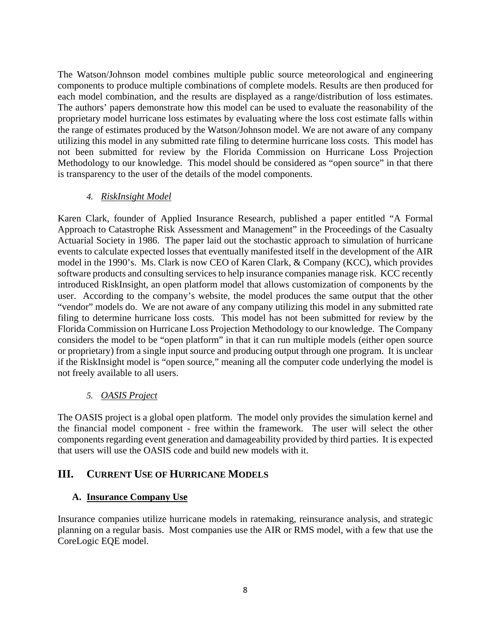The Watson/Johnson model combines multiple public source meteorological and engineering components to produce multiple combinations of complete models. Results are then produced for each model combination, and the results are displayed as a range/distribution of loss estimates. The authors' papers demonstrate how this model can be used to evaluate the reasonability of the proprietary model hurricane loss estimates by evaluating where the loss cost estimate falls within the range of estimates produced by the Watson/Johnson model. We are not aware of any company utilizing this model in any submitted rate filing to determine hurricane loss costs. This model has not been submitted for review by the Florida Commission on Hurricane Loss Projection Methodology to our knowledge. This model should be considered as "open source" in that there is transparency to the user of the details of the model components.

#### *4. RiskInsight Model*

Karen Clark, founder of Applied Insurance Research, published a paper entitled "A Formal Approach to Catastrophe Risk Assessment and Management" in the Proceedings of the Casualty Actuarial Society in 1986. The paper laid out the stochastic approach to simulation of hurricane events to calculate expected losses that eventually manifested itself in the development of the AIR model in the 1990's. Ms. Clark is now CEO of Karen Clark, & Company (KCC), which provides software products and consulting services to help insurance companies manage risk. KCC recently introduced RiskInsight, an open platform model that allows customization of components by the user. According to the company's website, the model produces the same output that the other "vendor" models do. We are not aware of any company utilizing this model in any submitted rate filing to determine hurricane loss costs. This model has not been submitted for review by the Florida Commission on Hurricane Loss Projection Methodology to our knowledge. The Company considers the model to be "open platform" in that it can run multiple models (either open source or proprietary) from a single input source and producing output through one program. It is unclear if the RiskInsight model is "open source," meaning all the computer code underlying the model is not freely available to all users.

#### *5. OASIS Project*

The OASIS project is a global open platform. The model only provides the simulation kernel and the financial model component - free within the framework. The user will select the other components regarding event generation and damageability provided by third parties. It is expected that users will use the OASIS code and build new models with it.

#### **III. CURRENT USE OF HURRICANE MODELS**

#### **A. Insurance Company Use**

Insurance companies utilize hurricane models in ratemaking, reinsurance analysis, and strategic planning on a regular basis. Most companies use the AIR or RMS model, with a few that use the CoreLogic EQE model.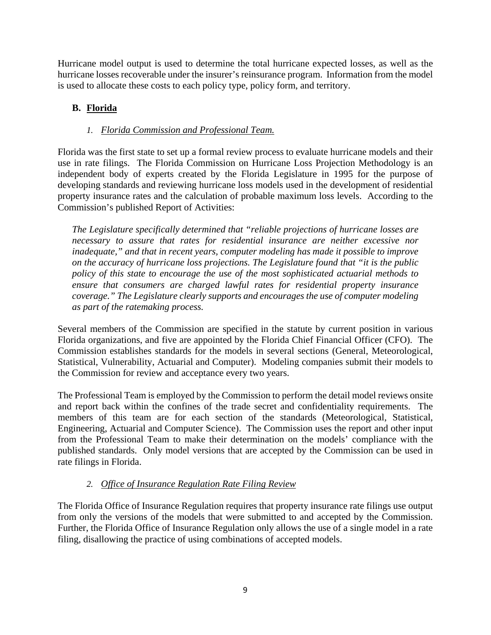Hurricane model output is used to determine the total hurricane expected losses, as well as the hurricane losses recoverable under the insurer's reinsurance program. Information from the model is used to allocate these costs to each policy type, policy form, and territory.

### **B. Florida**

#### *1. Florida Commission and Professional Team.*

Florida was the first state to set up a formal review process to evaluate hurricane models and their use in rate filings. The Florida Commission on Hurricane Loss Projection Methodology is an independent body of experts created by the Florida Legislature in 1995 for the purpose of developing standards and reviewing hurricane loss models used in the development of residential property insurance rates and the calculation of probable maximum loss levels. According to the Commission's published Report of Activities:

*The Legislature specifically determined that "reliable projections of hurricane losses are necessary to assure that rates for residential insurance are neither excessive nor inadequate," and that in recent years, computer modeling has made it possible to improve on the accuracy of hurricane loss projections. The Legislature found that "it is the public policy of this state to encourage the use of the most sophisticated actuarial methods to ensure that consumers are charged lawful rates for residential property insurance coverage." The Legislature clearly supports and encourages the use of computer modeling as part of the ratemaking process.* 

Several members of the Commission are specified in the statute by current position in various Florida organizations, and five are appointed by the Florida Chief Financial Officer (CFO). The Commission establishes standards for the models in several sections (General, Meteorological, Statistical, Vulnerability, Actuarial and Computer). Modeling companies submit their models to the Commission for review and acceptance every two years.

The Professional Team is employed by the Commission to perform the detail model reviews onsite and report back within the confines of the trade secret and confidentiality requirements. The members of this team are for each section of the standards (Meteorological, Statistical, Engineering, Actuarial and Computer Science). The Commission uses the report and other input from the Professional Team to make their determination on the models' compliance with the published standards. Only model versions that are accepted by the Commission can be used in rate filings in Florida.

#### *2. Office of Insurance Regulation Rate Filing Review*

The Florida Office of Insurance Regulation requires that property insurance rate filings use output from only the versions of the models that were submitted to and accepted by the Commission. Further, the Florida Office of Insurance Regulation only allows the use of a single model in a rate filing, disallowing the practice of using combinations of accepted models.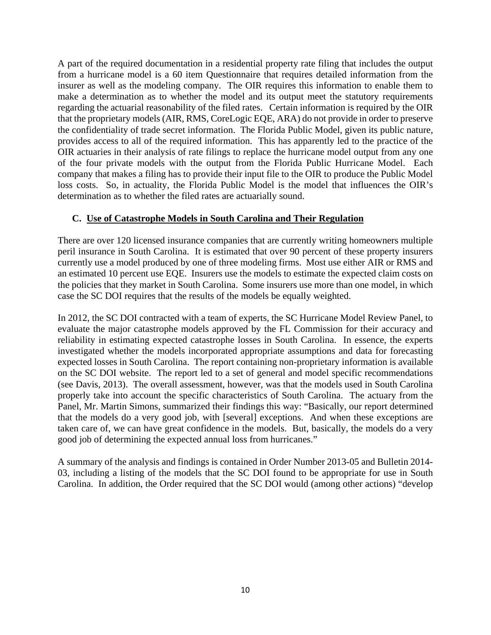A part of the required documentation in a residential property rate filing that includes the output from a hurricane model is a 60 item Questionnaire that requires detailed information from the insurer as well as the modeling company. The OIR requires this information to enable them to make a determination as to whether the model and its output meet the statutory requirements regarding the actuarial reasonability of the filed rates. Certain information is required by the OIR that the proprietary models (AIR, RMS, CoreLogic EQE, ARA) do not provide in order to preserve the confidentiality of trade secret information. The Florida Public Model, given its public nature, provides access to all of the required information. This has apparently led to the practice of the OIR actuaries in their analysis of rate filings to replace the hurricane model output from any one of the four private models with the output from the Florida Public Hurricane Model. Each company that makes a filing has to provide their input file to the OIR to produce the Public Model loss costs. So, in actuality, the Florida Public Model is the model that influences the OIR's determination as to whether the filed rates are actuarially sound.

#### **C. Use of Catastrophe Models in South Carolina and Their Regulation**

There are over 120 licensed insurance companies that are currently writing homeowners multiple peril insurance in South Carolina. It is estimated that over 90 percent of these property insurers currently use a model produced by one of three modeling firms. Most use either AIR or RMS and an estimated 10 percent use EQE. Insurers use the models to estimate the expected claim costs on the policies that they market in South Carolina. Some insurers use more than one model, in which case the SC DOI requires that the results of the models be equally weighted.

In 2012, the SC DOI contracted with a team of experts, the SC Hurricane Model Review Panel, to evaluate the major catastrophe models approved by the FL Commission for their accuracy and reliability in estimating expected catastrophe losses in South Carolina. In essence, the experts investigated whether the models incorporated appropriate assumptions and data for forecasting expected losses in South Carolina. The report containing non-proprietary information is available on the SC DOI website. The report led to a set of general and model specific recommendations (see Davis, 2013). The overall assessment, however, was that the models used in South Carolina properly take into account the specific characteristics of South Carolina.The actuary from the Panel, Mr. Martin Simons, summarized their findings this way: "Basically, our report determined that the models do a very good job, with [several] exceptions. And when these exceptions are taken care of, we can have great confidence in the models. But, basically, the models do a very good job of determining the expected annual loss from hurricanes."

A summary of the analysis and findings is contained in Order Number 2013-05 and Bulletin 2014- 03, including a listing of the models that the SC DOI found to be appropriate for use in South Carolina. In addition, the Order required that the SC DOI would (among other actions) "develop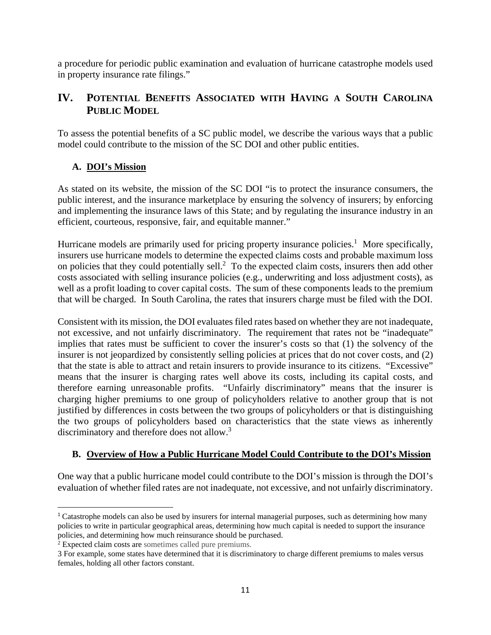a procedure for periodic public examination and evaluation of hurricane catastrophe models used in property insurance rate filings."

# **IV. POTENTIAL BENEFITS ASSOCIATED WITH HAVING A SOUTH CAROLINA PUBLIC MODEL**

To assess the potential benefits of a SC public model, we describe the various ways that a public model could contribute to the mission of the SC DOI and other public entities.

#### **A. DOI's Mission**

As stated on its website, the mission of the SC DOI "is to protect the insurance consumers, the public interest, and the insurance marketplace by ensuring the solvency of insurers; by enforcing and implementing the insurance laws of this State; and by regulating the insurance industry in an efficient, courteous, responsive, fair, and equitable manner."

Hurricane models are primarily used for pricing property insurance policies.<sup>1</sup> More specifically, insurers use hurricane models to determine the expected claims costs and probable maximum loss on policies that they could potentially sell. $<sup>2</sup>$  To the expected claim costs, insurers then add other</sup> costs associated with selling insurance policies (e.g., underwriting and loss adjustment costs), as well as a profit loading to cover capital costs. The sum of these components leads to the premium that will be charged. In South Carolina, the rates that insurers charge must be filed with the DOI.

Consistent with its mission, the DOI evaluates filed rates based on whether they are not inadequate, not excessive, and not unfairly discriminatory. The requirement that rates not be "inadequate" implies that rates must be sufficient to cover the insurer's costs so that (1) the solvency of the insurer is not jeopardized by consistently selling policies at prices that do not cover costs, and (2) that the state is able to attract and retain insurers to provide insurance to its citizens. "Excessive" means that the insurer is charging rates well above its costs, including its capital costs, and therefore earning unreasonable profits. "Unfairly discriminatory" means that the insurer is charging higher premiums to one group of policyholders relative to another group that is not justified by differences in costs between the two groups of policyholders or that is distinguishing the two groups of policyholders based on characteristics that the state views as inherently discriminatory and therefore does not allow.<sup>3</sup>

#### **B. Overview of How a Public Hurricane Model Could Contribute to the DOI's Mission**

One way that a public hurricane model could contribute to the DOI's mission is through the DOI's evaluation of whether filed rates are not inadequate, not excessive, and not unfairly discriminatory.

 <sup>1</sup> Catastrophe models can also be used by insurers for internal managerial purposes, such as determining how many policies to write in particular geographical areas, determining how much capital is needed to support the insurance policies, and determining how much reinsurance should be purchased.

<sup>&</sup>lt;sup>2</sup> Expected claim costs are sometimes called pure premiums.

<sup>3</sup> For example, some states have determined that it is discriminatory to charge different premiums to males versus females, holding all other factors constant.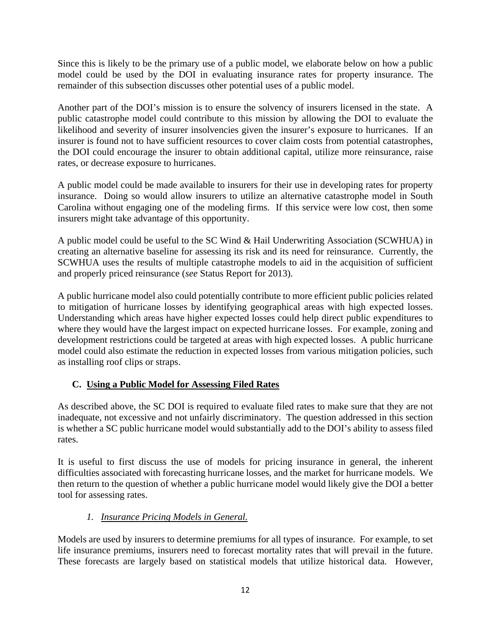Since this is likely to be the primary use of a public model, we elaborate below on how a public model could be used by the DOI in evaluating insurance rates for property insurance. The remainder of this subsection discusses other potential uses of a public model.

Another part of the DOI's mission is to ensure the solvency of insurers licensed in the state. A public catastrophe model could contribute to this mission by allowing the DOI to evaluate the likelihood and severity of insurer insolvencies given the insurer's exposure to hurricanes. If an insurer is found not to have sufficient resources to cover claim costs from potential catastrophes, the DOI could encourage the insurer to obtain additional capital, utilize more reinsurance, raise rates, or decrease exposure to hurricanes.

A public model could be made available to insurers for their use in developing rates for property insurance. Doing so would allow insurers to utilize an alternative catastrophe model in South Carolina without engaging one of the modeling firms. If this service were low cost, then some insurers might take advantage of this opportunity.

A public model could be useful to the SC Wind & Hail Underwriting Association (SCWHUA) in creating an alternative baseline for assessing its risk and its need for reinsurance. Currently, the SCWHUA uses the results of multiple catastrophe models to aid in the acquisition of sufficient and properly priced reinsurance (*see* Status Report for 2013).

A public hurricane model also could potentially contribute to more efficient public policies related to mitigation of hurricane losses by identifying geographical areas with high expected losses. Understanding which areas have higher expected losses could help direct public expenditures to where they would have the largest impact on expected hurricane losses. For example, zoning and development restrictions could be targeted at areas with high expected losses. A public hurricane model could also estimate the reduction in expected losses from various mitigation policies, such as installing roof clips or straps.

#### **C. Using a Public Model for Assessing Filed Rates**

As described above, the SC DOI is required to evaluate filed rates to make sure that they are not inadequate, not excessive and not unfairly discriminatory. The question addressed in this section is whether a SC public hurricane model would substantially add to the DOI's ability to assess filed rates.

It is useful to first discuss the use of models for pricing insurance in general, the inherent difficulties associated with forecasting hurricane losses, and the market for hurricane models. We then return to the question of whether a public hurricane model would likely give the DOI a better tool for assessing rates.

# *1. Insurance Pricing Models in General.*

Models are used by insurers to determine premiums for all types of insurance. For example, to set life insurance premiums, insurers need to forecast mortality rates that will prevail in the future. These forecasts are largely based on statistical models that utilize historical data. However,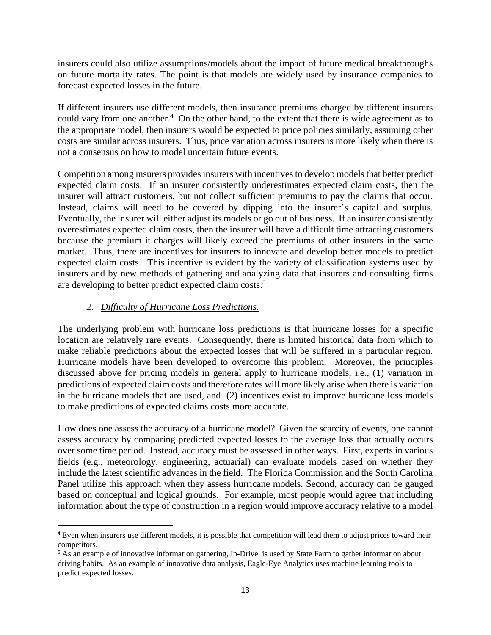insurers could also utilize assumptions/models about the impact of future medical breakthroughs on future mortality rates. The point is that models are widely used by insurance companies to forecast expected losses in the future.

If different insurers use different models, then insurance premiums charged by different insurers could vary from one another. $4$  On the other hand, to the extent that there is wide agreement as to the appropriate model, then insurers would be expected to price policies similarly, assuming other costs are similar across insurers. Thus, price variation across insurers is more likely when there is not a consensus on how to model uncertain future events.

Competition among insurers provides insurers with incentives to develop models that better predict expected claim costs. If an insurer consistently underestimates expected claim costs, then the insurer will attract customers, but not collect sufficient premiums to pay the claims that occur. Instead, claims will need to be covered by dipping into the insurer's capital and surplus. Eventually, the insurer will either adjust its models or go out of business. If an insurer consistently overestimates expected claim costs, then the insurer will have a difficult time attracting customers because the premium it charges will likely exceed the premiums of other insurers in the same market. Thus, there are incentives for insurers to innovate and develop better models to predict expected claim costs. This incentive is evident by the variety of classification systems used by insurers and by new methods of gathering and analyzing data that insurers and consulting firms are developing to better predict expected claim costs.5

#### *2. Difficulty of Hurricane Loss Predictions.*

The underlying problem with hurricane loss predictions is that hurricane losses for a specific location are relatively rare events. Consequently, there is limited historical data from which to make reliable predictions about the expected losses that will be suffered in a particular region. Hurricane models have been developed to overcome this problem. Moreover, the principles discussed above for pricing models in general apply to hurricane models, i.e., (1) variation in predictions of expected claim costs and therefore rates will more likely arise when there is variation in the hurricane models that are used, and (2) incentives exist to improve hurricane loss models to make predictions of expected claims costs more accurate.

How does one assess the accuracy of a hurricane model? Given the scarcity of events, one cannot assess accuracy by comparing predicted expected losses to the average loss that actually occurs over some time period. Instead, accuracy must be assessed in other ways. First, experts in various fields (e.g., meteorology, engineering, actuarial) can evaluate models based on whether they include the latest scientific advances in the field. The Florida Commission and the South Carolina Panel utilize this approach when they assess hurricane models. Second, accuracy can be gauged based on conceptual and logical grounds. For example, most people would agree that including information about the type of construction in a region would improve accuracy relative to a model

<sup>&</sup>lt;sup>4</sup> Even when insurers use different models, it is possible that competition will lead them to adjust prices toward their competitors.

<sup>5</sup> As an example of innovative information gathering, In-Drive is used by State Farm to gather information about driving habits. As an example of innovative data analysis, Eagle-Eye Analytics uses machine learning tools to predict expected losses.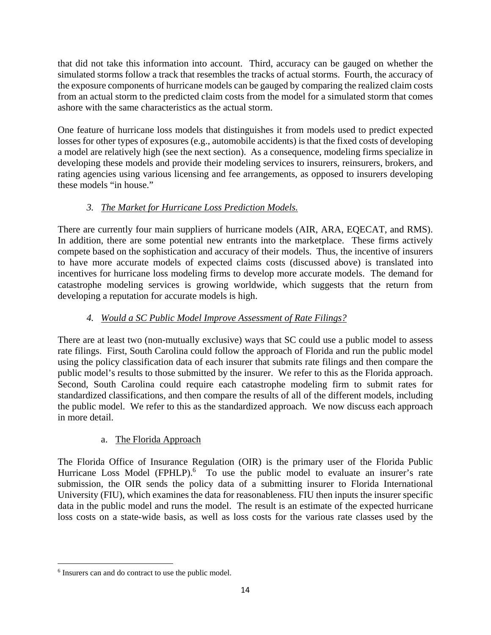that did not take this information into account. Third, accuracy can be gauged on whether the simulated storms follow a track that resembles the tracks of actual storms. Fourth, the accuracy of the exposure components of hurricane models can be gauged by comparing the realized claim costs from an actual storm to the predicted claim costs from the model for a simulated storm that comes ashore with the same characteristics as the actual storm.

One feature of hurricane loss models that distinguishes it from models used to predict expected losses for other types of exposures (e.g., automobile accidents) is that the fixed costs of developing a model are relatively high (see the next section). As a consequence, modeling firms specialize in developing these models and provide their modeling services to insurers, reinsurers, brokers, and rating agencies using various licensing and fee arrangements, as opposed to insurers developing these models "in house."

# *3. The Market for Hurricane Loss Prediction Models.*

There are currently four main suppliers of hurricane models (AIR, ARA, EQECAT, and RMS). In addition, there are some potential new entrants into the marketplace. These firms actively compete based on the sophistication and accuracy of their models. Thus, the incentive of insurers to have more accurate models of expected claims costs (discussed above) is translated into incentives for hurricane loss modeling firms to develop more accurate models. The demand for catastrophe modeling services is growing worldwide, which suggests that the return from developing a reputation for accurate models is high.

# *4. Would a SC Public Model Improve Assessment of Rate Filings?*

There are at least two (non-mutually exclusive) ways that SC could use a public model to assess rate filings. First, South Carolina could follow the approach of Florida and run the public model using the policy classification data of each insurer that submits rate filings and then compare the public model's results to those submitted by the insurer. We refer to this as the Florida approach. Second, South Carolina could require each catastrophe modeling firm to submit rates for standardized classifications, and then compare the results of all of the different models, including the public model. We refer to this as the standardized approach. We now discuss each approach in more detail.

#### a. The Florida Approach

The Florida Office of Insurance Regulation (OIR) is the primary user of the Florida Public Hurricane Loss Model (FPHLP).<sup>6</sup> To use the public model to evaluate an insurer's rate submission, the OIR sends the policy data of a submitting insurer to Florida International University (FIU), which examines the data for reasonableness. FIU then inputs the insurer specific data in the public model and runs the model. The result is an estimate of the expected hurricane loss costs on a state-wide basis, as well as loss costs for the various rate classes used by the

 6 Insurers can and do contract to use the public model.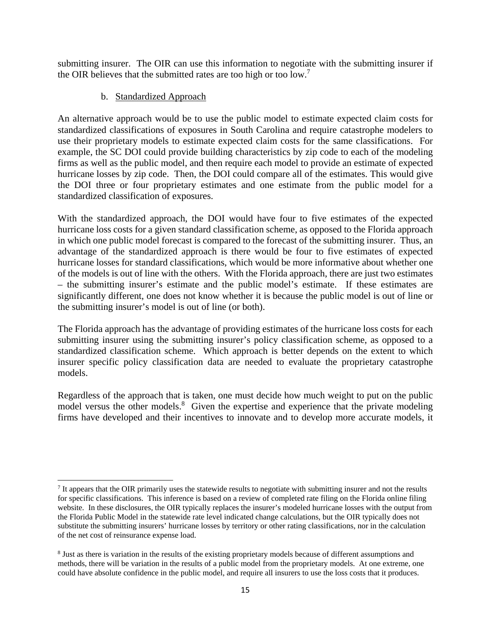submitting insurer. The OIR can use this information to negotiate with the submitting insurer if the OIR believes that the submitted rates are too high or too low.<sup>7</sup>

#### b. Standardized Approach

An alternative approach would be to use the public model to estimate expected claim costs for standardized classifications of exposures in South Carolina and require catastrophe modelers to use their proprietary models to estimate expected claim costs for the same classifications. For example, the SC DOI could provide building characteristics by zip code to each of the modeling firms as well as the public model, and then require each model to provide an estimate of expected hurricane losses by zip code. Then, the DOI could compare all of the estimates. This would give the DOI three or four proprietary estimates and one estimate from the public model for a standardized classification of exposures.

With the standardized approach, the DOI would have four to five estimates of the expected hurricane loss costs for a given standard classification scheme, as opposed to the Florida approach in which one public model forecast is compared to the forecast of the submitting insurer. Thus, an advantage of the standardized approach is there would be four to five estimates of expected hurricane losses for standard classifications, which would be more informative about whether one of the models is out of line with the others. With the Florida approach, there are just two estimates – the submitting insurer's estimate and the public model's estimate. If these estimates are significantly different, one does not know whether it is because the public model is out of line or the submitting insurer's model is out of line (or both).

The Florida approach has the advantage of providing estimates of the hurricane loss costs for each submitting insurer using the submitting insurer's policy classification scheme, as opposed to a standardized classification scheme. Which approach is better depends on the extent to which insurer specific policy classification data are needed to evaluate the proprietary catastrophe models.

Regardless of the approach that is taken, one must decide how much weight to put on the public model versus the other models.<sup>8</sup> Given the expertise and experience that the private modeling firms have developed and their incentives to innovate and to develop more accurate models, it

  $<sup>7</sup>$  It appears that the OIR primarily uses the statewide results to negotiate with submitting insurer and not the results</sup> for specific classifications. This inference is based on a review of completed rate filing on the Florida online filing website. In these disclosures, the OIR typically replaces the insurer's modeled hurricane losses with the output from the Florida Public Model in the statewide rate level indicated change calculations, but the OIR typically does not substitute the submitting insurers' hurricane losses by territory or other rating classifications, nor in the calculation of the net cost of reinsurance expense load.

<sup>&</sup>lt;sup>8</sup> Just as there is variation in the results of the existing proprietary models because of different assumptions and methods, there will be variation in the results of a public model from the proprietary models. At one extreme, one could have absolute confidence in the public model, and require all insurers to use the loss costs that it produces.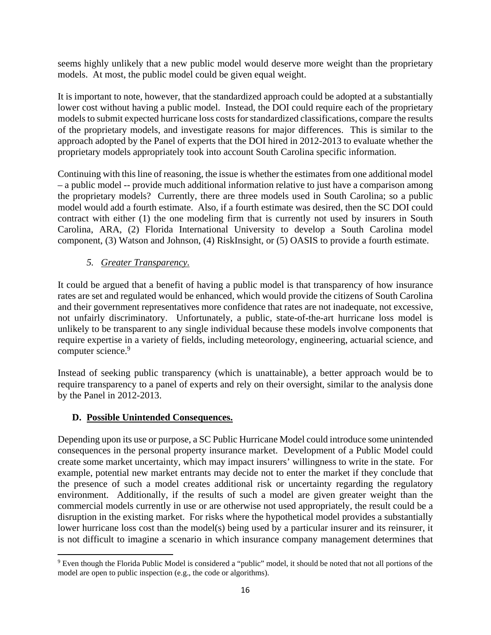seems highly unlikely that a new public model would deserve more weight than the proprietary models. At most, the public model could be given equal weight.

It is important to note, however, that the standardized approach could be adopted at a substantially lower cost without having a public model. Instead, the DOI could require each of the proprietary models to submit expected hurricane loss costs for standardized classifications, compare the results of the proprietary models, and investigate reasons for major differences. This is similar to the approach adopted by the Panel of experts that the DOI hired in 2012-2013 to evaluate whether the proprietary models appropriately took into account South Carolina specific information.

Continuing with this line of reasoning, the issue is whether the estimates from one additional model – a public model -- provide much additional information relative to just have a comparison among the proprietary models? Currently, there are three models used in South Carolina; so a public model would add a fourth estimate. Also, if a fourth estimate was desired, then the SC DOI could contract with either (1) the one modeling firm that is currently not used by insurers in South Carolina, ARA, (2) Florida International University to develop a South Carolina model component, (3) Watson and Johnson, (4) RiskInsight, or (5) OASIS to provide a fourth estimate.

#### *5. Greater Transparency.*

It could be argued that a benefit of having a public model is that transparency of how insurance rates are set and regulated would be enhanced, which would provide the citizens of South Carolina and their government representatives more confidence that rates are not inadequate, not excessive, not unfairly discriminatory. Unfortunately, a public, state-of-the-art hurricane loss model is unlikely to be transparent to any single individual because these models involve components that require expertise in a variety of fields, including meteorology, engineering, actuarial science, and computer science.<sup>9</sup>

Instead of seeking public transparency (which is unattainable), a better approach would be to require transparency to a panel of experts and rely on their oversight, similar to the analysis done by the Panel in 2012-2013.

#### **D. Possible Unintended Consequences.**

Depending upon its use or purpose, a SC Public Hurricane Model could introduce some unintended consequences in the personal property insurance market. Development of a Public Model could create some market uncertainty, which may impact insurers' willingness to write in the state. For example, potential new market entrants may decide not to enter the market if they conclude that the presence of such a model creates additional risk or uncertainty regarding the regulatory environment. Additionally, if the results of such a model are given greater weight than the commercial models currently in use or are otherwise not used appropriately, the result could be a disruption in the existing market. For risks where the hypothetical model provides a substantially lower hurricane loss cost than the model(s) being used by a particular insurer and its reinsurer, it is not difficult to imagine a scenario in which insurance company management determines that

<sup>&</sup>lt;sup>9</sup> Even though the Florida Public Model is considered a "public" model, it should be noted that not all portions of the model are open to public inspection (e.g., the code or algorithms).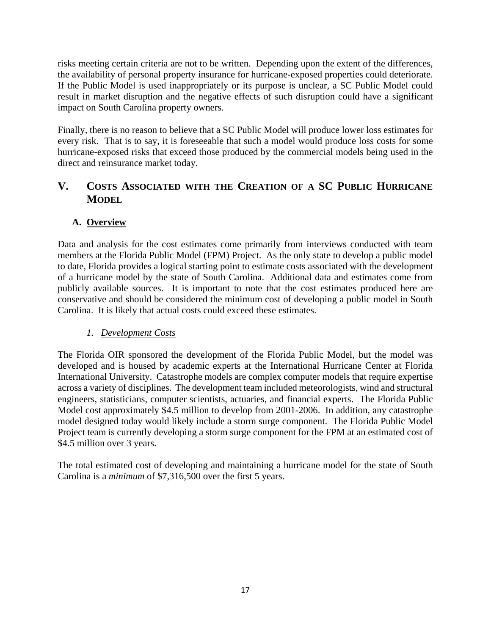risks meeting certain criteria are not to be written. Depending upon the extent of the differences, the availability of personal property insurance for hurricane-exposed properties could deteriorate. If the Public Model is used inappropriately or its purpose is unclear, a SC Public Model could result in market disruption and the negative effects of such disruption could have a significant impact on South Carolina property owners.

Finally, there is no reason to believe that a SC Public Model will produce lower loss estimates for every risk. That is to say, it is foreseeable that such a model would produce loss costs for some hurricane-exposed risks that exceed those produced by the commercial models being used in the direct and reinsurance market today.

# **V. COSTS ASSOCIATED WITH THE CREATION OF A SC PUBLIC HURRICANE MODEL**

#### **A. Overview**

Data and analysis for the cost estimates come primarily from interviews conducted with team members at the Florida Public Model (FPM) Project. As the only state to develop a public model to date, Florida provides a logical starting point to estimate costs associated with the development of a hurricane model by the state of South Carolina. Additional data and estimates come from publicly available sources. It is important to note that the cost estimates produced here are conservative and should be considered the minimum cost of developing a public model in South Carolina. It is likely that actual costs could exceed these estimates.

#### *1. Development Costs*

The Florida OIR sponsored the development of the Florida Public Model, but the model was developed and is housed by academic experts at the International Hurricane Center at Florida International University. Catastrophe models are complex computer models that require expertise across a variety of disciplines. The development team included meteorologists, wind and structural engineers, statisticians, computer scientists, actuaries, and financial experts. The Florida Public Model cost approximately \$4.5 million to develop from 2001-2006. In addition, any catastrophe model designed today would likely include a storm surge component. The Florida Public Model Project team is currently developing a storm surge component for the FPM at an estimated cost of \$4.5 million over 3 years.

The total estimated cost of developing and maintaining a hurricane model for the state of South Carolina is a *minimum* of \$7,316,500 over the first 5 years.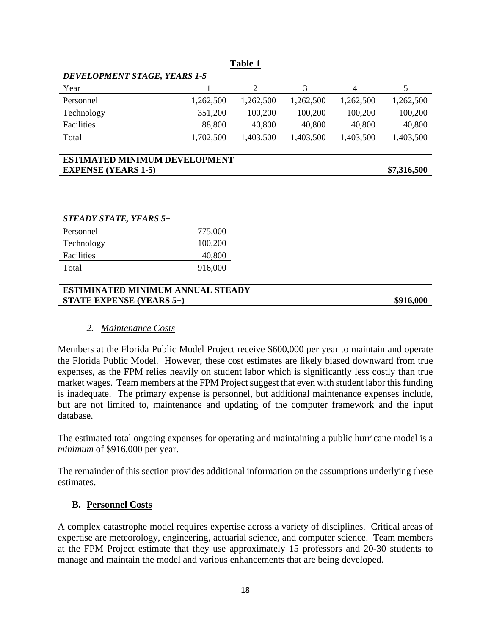| <b>Table 1</b>                       |           |           |           |           |             |
|--------------------------------------|-----------|-----------|-----------|-----------|-------------|
| DEVELOPMENT STAGE, YEARS 1-5         |           |           |           |           |             |
| Year                                 |           | 2         | 3         | 4         | 5           |
| Personnel                            | 1,262,500 | 1,262,500 | 1,262,500 | 1,262,500 | 1,262,500   |
| Technology                           | 351,200   | 100,200   | 100,200   | 100,200   | 100,200     |
| Facilities                           | 88,800    | 40,800    | 40,800    | 40,800    | 40,800      |
| Total                                | 1,702,500 | 1,403,500 | 1,403,500 | 1,403,500 | 1,403,500   |
| <b>ESTIMATED MINIMUM DEVELOPMENT</b> |           |           |           |           |             |
| <b>EXPENSE (YEARS 1-5)</b>           |           |           |           |           | \$7,316,500 |

| <b>STEADY STATE, YEARS 5+</b> |         |
|-------------------------------|---------|
| Personnel                     | 775,000 |
| Technology                    | 100,200 |
| Facilities                    | 40,800  |
| Total                         | 916,000 |

#### **ESTIMINATED MINIMUM ANNUAL STEADY STATE EXPENSE** (YEARS 5+)  $$916,000$

#### *2. Maintenance Costs*

Members at the Florida Public Model Project receive \$600,000 per year to maintain and operate the Florida Public Model. However, these cost estimates are likely biased downward from true expenses, as the FPM relies heavily on student labor which is significantly less costly than true market wages. Team members at the FPM Project suggest that even with student labor this funding is inadequate. The primary expense is personnel, but additional maintenance expenses include, but are not limited to, maintenance and updating of the computer framework and the input database.

The estimated total ongoing expenses for operating and maintaining a public hurricane model is a *minimum* of \$916,000 per year.

The remainder of this section provides additional information on the assumptions underlying these estimates.

#### **B. Personnel Costs**

A complex catastrophe model requires expertise across a variety of disciplines. Critical areas of expertise are meteorology, engineering, actuarial science, and computer science. Team members at the FPM Project estimate that they use approximately 15 professors and 20-30 students to manage and maintain the model and various enhancements that are being developed.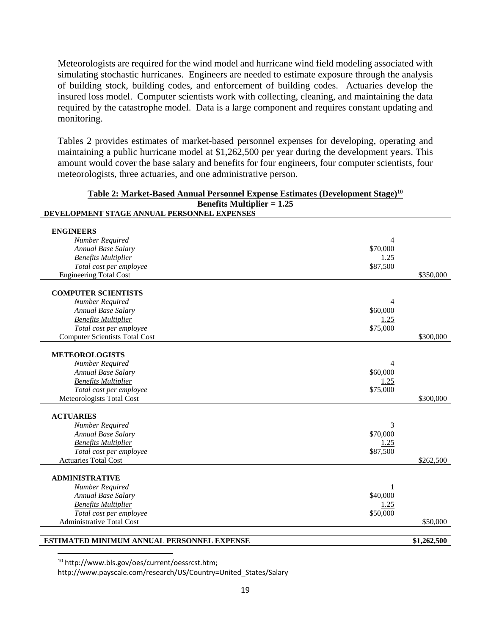Meteorologists are required for the wind model and hurricane wind field modeling associated with simulating stochastic hurricanes. Engineers are needed to estimate exposure through the analysis of building stock, building codes, and enforcement of building codes. Actuaries develop the insured loss model. Computer scientists work with collecting, cleaning, and maintaining the data required by the catastrophe model. Data is a large component and requires constant updating and monitoring.

Tables 2 provides estimates of market-based personnel expenses for developing, operating and maintaining a public hurricane model at \$1,262,500 per year during the development years. This amount would cover the base salary and benefits for four engineers, four computer scientists, four meteorologists, three actuaries, and one administrative person.

| <u>Table 2: Market-Based Annual Personnel Expense Estimates (Development Stage)<sup>10</sup></u> |          |             |
|--------------------------------------------------------------------------------------------------|----------|-------------|
| <b>Benefits Multiplier = 1.25</b>                                                                |          |             |
| DEVELOPMENT STAGE ANNUAL PERSONNEL EXPENSES                                                      |          |             |
| <b>ENGINEERS</b>                                                                                 |          |             |
| Number Required                                                                                  | 4        |             |
| Annual Base Salary                                                                               | \$70,000 |             |
| <b>Benefits Multiplier</b>                                                                       | 1.25     |             |
| Total cost per employee                                                                          | \$87,500 |             |
| <b>Engineering Total Cost</b>                                                                    |          | \$350,000   |
| <b>COMPUTER SCIENTISTS</b>                                                                       |          |             |
| Number Required                                                                                  | 4        |             |
| Annual Base Salary                                                                               | \$60,000 |             |
| <b>Benefits Multiplier</b>                                                                       | 1.25     |             |
| Total cost per employee                                                                          | \$75,000 |             |
| <b>Computer Scientists Total Cost</b>                                                            |          | \$300,000   |
|                                                                                                  |          |             |
| <b>METEOROLOGISTS</b>                                                                            |          |             |
| Number Required                                                                                  | 4        |             |
| Annual Base Salary                                                                               | \$60,000 |             |
| <b>Benefits Multiplier</b>                                                                       | 1.25     |             |
| Total cost per employee                                                                          | \$75,000 |             |
| Meteorologists Total Cost                                                                        |          | \$300,000   |
|                                                                                                  |          |             |
| <b>ACTUARIES</b>                                                                                 |          |             |
| Number Required                                                                                  | 3        |             |
| Annual Base Salary                                                                               | \$70,000 |             |
| <b>Benefits Multiplier</b>                                                                       | 1.25     |             |
| Total cost per employee                                                                          | \$87,500 |             |
| <b>Actuaries Total Cost</b>                                                                      |          | \$262,500   |
| <b>ADMINISTRATIVE</b>                                                                            |          |             |
| Number Required                                                                                  | 1        |             |
| Annual Base Salary                                                                               | \$40,000 |             |
| <b>Benefits Multiplier</b>                                                                       | 1.25     |             |
| Total cost per employee                                                                          | \$50,000 |             |
| <b>Administrative Total Cost</b>                                                                 |          | \$50,000    |
|                                                                                                  |          |             |
| <b>ESTIMATED MINIMUM ANNUAL PERSONNEL EXPENSE</b>                                                |          | \$1,262,500 |

# **Table 2: Market-Based Annual Personnel Expense Estimates (Development Stage)10**

<sup>10</sup> http://www.bls.gov/oes/current/oessrcst.htm;

http://www.payscale.com/research/US/Country=United\_States/Salary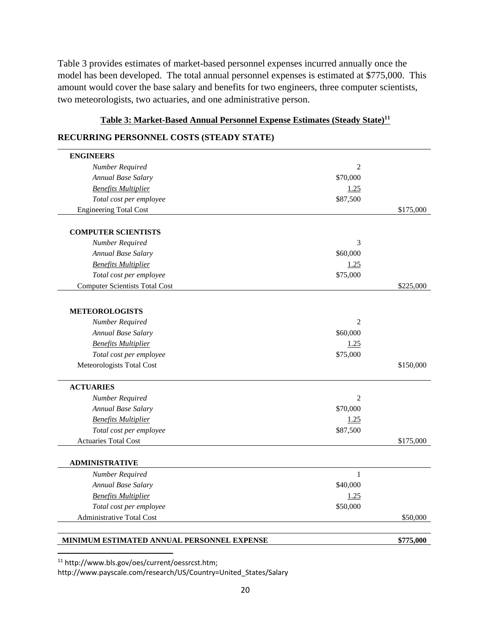Table 3 provides estimates of market-based personnel expenses incurred annually once the model has been developed. The total annual personnel expenses is estimated at \$775,000. This amount would cover the base salary and benefits for two engineers, three computer scientists, two meteorologists, two actuaries, and one administrative person.

# Table 3: Market-Based Annual Personnel Expense Estimates (Steady State)<sup>11</sup>

#### **RECURRING PERSONNEL COSTS (STEADY STATE)**

| <b>ENGINEERS</b>                      |                |           |
|---------------------------------------|----------------|-----------|
| Number Required                       | $\overline{2}$ |           |
| Annual Base Salary                    | \$70,000       |           |
| <b>Benefits Multiplier</b>            | 1.25           |           |
| Total cost per employee               | \$87,500       |           |
| <b>Engineering Total Cost</b>         |                | \$175,000 |
|                                       |                |           |
| <b>COMPUTER SCIENTISTS</b>            |                |           |
| Number Required                       | 3              |           |
| Annual Base Salary                    | \$60,000       |           |
| <b>Benefits Multiplier</b>            | 1.25           |           |
| Total cost per employee               | \$75,000       |           |
| <b>Computer Scientists Total Cost</b> |                | \$225,000 |
|                                       |                |           |
| <b>METEOROLOGISTS</b>                 |                |           |
| Number Required                       | $\overline{2}$ |           |
| Annual Base Salary                    | \$60,000       |           |
| <b>Benefits Multiplier</b>            | 1.25           |           |
| Total cost per employee               | \$75,000       |           |
| Meteorologists Total Cost             |                | \$150,000 |
|                                       |                |           |
| <b>ACTUARIES</b>                      |                |           |
| Number Required                       | 2              |           |
| Annual Base Salary                    | \$70,000       |           |
| <b>Benefits Multiplier</b>            | 1.25           |           |
| Total cost per employee               | \$87,500       |           |
| <b>Actuaries Total Cost</b>           |                | \$175,000 |
|                                       |                |           |
| <b>ADMINISTRATIVE</b>                 |                |           |
| Number Required                       | 1              |           |
| Annual Base Salary                    | \$40,000       |           |
| <b>Benefits Multiplier</b>            | 1.25           |           |
| Total cost per employee               | \$50,000       |           |
| Administrative Total Cost             |                | \$50,000  |
|                                       |                |           |

#### **MINIMUM ESTIMATED ANNUAL PERSONNEL EXPENSE \$775,000 \$775,000**

<sup>11</sup> http://www.bls.gov/oes/current/oessrcst.htm;

http://www.payscale.com/research/US/Country=United\_States/Salary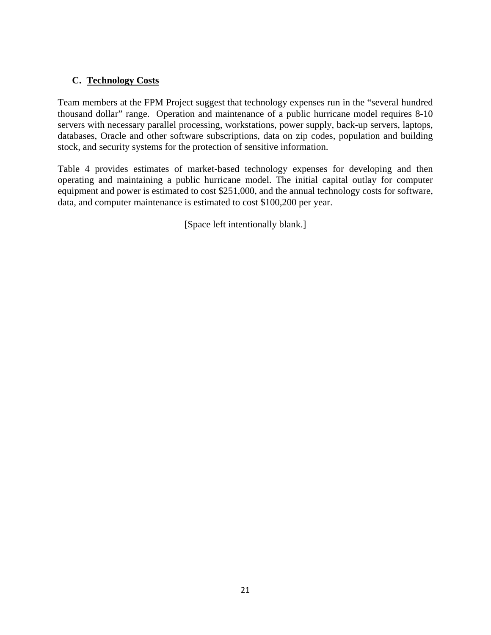#### **C. Technology Costs**

Team members at the FPM Project suggest that technology expenses run in the "several hundred thousand dollar" range. Operation and maintenance of a public hurricane model requires 8-10 servers with necessary parallel processing, workstations, power supply, back-up servers, laptops, databases, Oracle and other software subscriptions, data on zip codes, population and building stock, and security systems for the protection of sensitive information.

Table 4 provides estimates of market-based technology expenses for developing and then operating and maintaining a public hurricane model. The initial capital outlay for computer equipment and power is estimated to cost \$251,000, and the annual technology costs for software, data, and computer maintenance is estimated to cost \$100,200 per year.

[Space left intentionally blank.]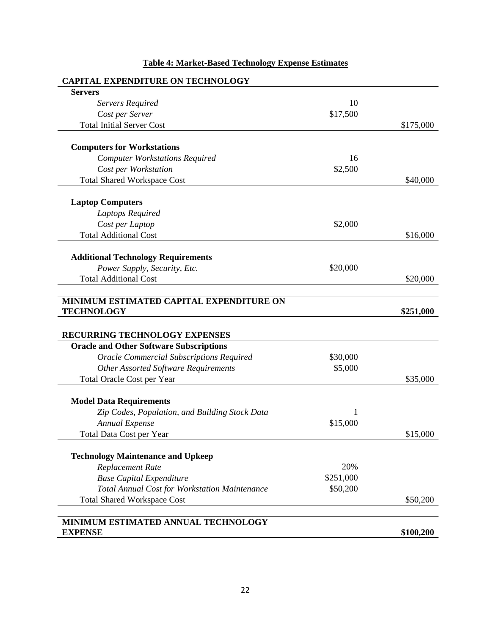| <b>CAPITAL EXPENDITURE ON TECHNOLOGY</b>             |           |           |
|------------------------------------------------------|-----------|-----------|
| <b>Servers</b>                                       |           |           |
| Servers Required                                     | 10        |           |
| Cost per Server                                      | \$17,500  |           |
| <b>Total Initial Server Cost</b>                     |           | \$175,000 |
|                                                      |           |           |
| <b>Computers for Workstations</b>                    |           |           |
| <b>Computer Workstations Required</b>                | 16        |           |
| Cost per Workstation                                 | \$2,500   |           |
| <b>Total Shared Workspace Cost</b>                   |           | \$40,000  |
|                                                      |           |           |
| <b>Laptop Computers</b>                              |           |           |
| Laptops Required                                     |           |           |
| Cost per Laptop                                      | \$2,000   |           |
| <b>Total Additional Cost</b>                         |           | \$16,000  |
|                                                      |           |           |
| <b>Additional Technology Requirements</b>            |           |           |
| Power Supply, Security, Etc.                         | \$20,000  |           |
| <b>Total Additional Cost</b>                         |           | \$20,000  |
|                                                      |           |           |
| MINIMUM ESTIMATED CAPITAL EXPENDITURE ON             |           |           |
| <b>TECHNOLOGY</b>                                    |           | \$251,000 |
|                                                      |           |           |
| RECURRING TECHNOLOGY EXPENSES                        |           |           |
| <b>Oracle and Other Software Subscriptions</b>       |           |           |
| <b>Oracle Commercial Subscriptions Required</b>      | \$30,000  |           |
| <b>Other Assorted Software Requirements</b>          | \$5,000   |           |
| Total Oracle Cost per Year                           |           | \$35,000  |
|                                                      |           |           |
| <b>Model Data Requirements</b>                       |           |           |
| Zip Codes, Population, and Building Stock Data       |           |           |
| Annual Expense                                       | \$15,000  |           |
| Total Data Cost per Year                             |           | \$15,000  |
|                                                      |           |           |
| <b>Technology Maintenance and Upkeep</b>             |           |           |
| Replacement Rate                                     | 20%       |           |
| <b>Base Capital Expenditure</b>                      | \$251,000 |           |
| <b>Total Annual Cost for Workstation Maintenance</b> | \$50,200  |           |
| <b>Total Shared Workspace Cost</b>                   |           | \$50,200  |
|                                                      |           |           |
| MINIMUM ESTIMATED ANNUAL TECHNOLOGY                  |           |           |
| <b>EXPENSE</b>                                       |           | \$100,200 |
|                                                      |           |           |

### **Table 4: Market-Based Technology Expense Estimates**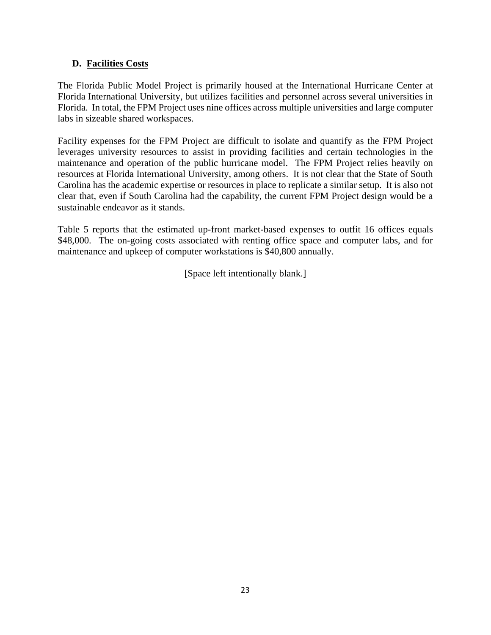#### **D. Facilities Costs**

The Florida Public Model Project is primarily housed at the International Hurricane Center at Florida International University, but utilizes facilities and personnel across several universities in Florida. In total, the FPM Project uses nine offices across multiple universities and large computer labs in sizeable shared workspaces.

Facility expenses for the FPM Project are difficult to isolate and quantify as the FPM Project leverages university resources to assist in providing facilities and certain technologies in the maintenance and operation of the public hurricane model. The FPM Project relies heavily on resources at Florida International University, among others. It is not clear that the State of South Carolina has the academic expertise or resources in place to replicate a similar setup. It is also not clear that, even if South Carolina had the capability, the current FPM Project design would be a sustainable endeavor as it stands.

Table 5 reports that the estimated up-front market-based expenses to outfit 16 offices equals \$48,000. The on-going costs associated with renting office space and computer labs, and for maintenance and upkeep of computer workstations is \$40,800 annually.

[Space left intentionally blank.]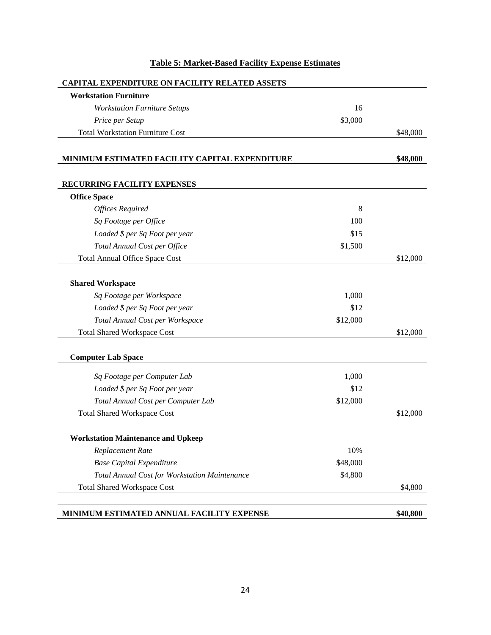| <b>Workstation Furniture</b>                         |          |          |
|------------------------------------------------------|----------|----------|
| <b>Workstation Furniture Setups</b>                  | 16       |          |
| Price per Setup                                      | \$3,000  |          |
| <b>Total Workstation Furniture Cost</b>              |          | \$48,000 |
| MINIMUM ESTIMATED FACILITY CAPITAL EXPENDITURE       |          | \$48,000 |
| RECURRING FACILITY EXPENSES                          |          |          |
| <b>Office Space</b>                                  |          |          |
| <b>Offices Required</b>                              | 8        |          |
| Sq Footage per Office                                | 100      |          |
| Loaded \$ per Sq Foot per year                       | \$15     |          |
| Total Annual Cost per Office                         | \$1,500  |          |
| <b>Total Annual Office Space Cost</b>                |          | \$12,000 |
| <b>Shared Workspace</b>                              |          |          |
| Sq Footage per Workspace                             | 1,000    |          |
| Loaded \$ per Sq Foot per year                       | \$12     |          |
| Total Annual Cost per Workspace                      | \$12,000 |          |
| <b>Total Shared Workspace Cost</b>                   |          | \$12,000 |
| <b>Computer Lab Space</b>                            |          |          |
| Sq Footage per Computer Lab                          | 1,000    |          |
| Loaded \$ per Sq Foot per year                       | \$12     |          |
| Total Annual Cost per Computer Lab                   | \$12,000 |          |
| <b>Total Shared Workspace Cost</b>                   |          | \$12,000 |
| <b>Workstation Maintenance and Upkeep</b>            |          |          |
| Replacement Rate                                     | 10%      |          |
| <b>Base Capital Expenditure</b>                      | \$48,000 |          |
| <b>Total Annual Cost for Workstation Maintenance</b> | \$4,800  |          |
| <b>Total Shared Workspace Cost</b>                   |          | \$4,800  |

### **Table 5: Market-Based Facility Expense Estimates**

**MINIMUM ESTIMATED ANNUAL FACILITY EXPENSE \$40,800**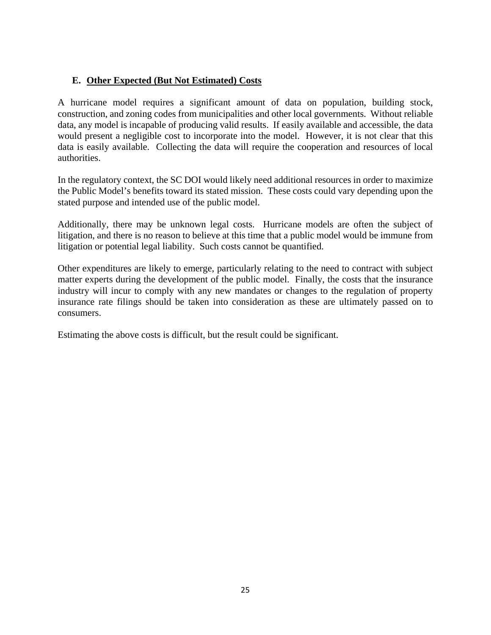#### **E. Other Expected (But Not Estimated) Costs**

A hurricane model requires a significant amount of data on population, building stock, construction, and zoning codes from municipalities and other local governments. Without reliable data, any model is incapable of producing valid results. If easily available and accessible, the data would present a negligible cost to incorporate into the model. However, it is not clear that this data is easily available. Collecting the data will require the cooperation and resources of local authorities.

In the regulatory context, the SC DOI would likely need additional resources in order to maximize the Public Model's benefits toward its stated mission. These costs could vary depending upon the stated purpose and intended use of the public model.

Additionally, there may be unknown legal costs. Hurricane models are often the subject of litigation, and there is no reason to believe at this time that a public model would be immune from litigation or potential legal liability. Such costs cannot be quantified.

Other expenditures are likely to emerge, particularly relating to the need to contract with subject matter experts during the development of the public model. Finally, the costs that the insurance industry will incur to comply with any new mandates or changes to the regulation of property insurance rate filings should be taken into consideration as these are ultimately passed on to consumers.

Estimating the above costs is difficult, but the result could be significant.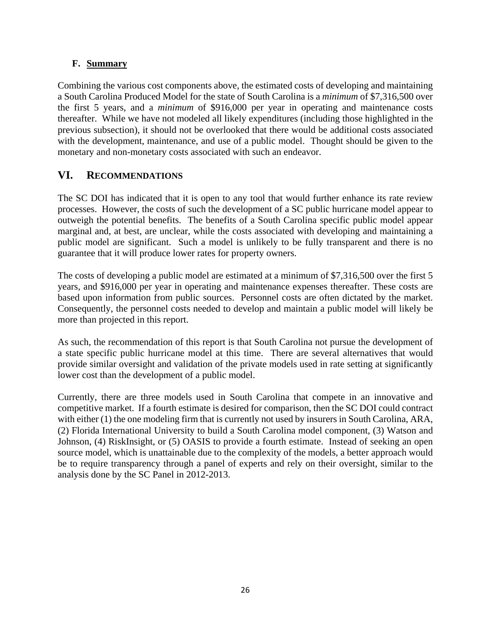#### **F. Summary**

Combining the various cost components above, the estimated costs of developing and maintaining a South Carolina Produced Model for the state of South Carolina is a *minimum* of \$7,316,500 over the first 5 years, and a *minimum* of \$916,000 per year in operating and maintenance costs thereafter. While we have not modeled all likely expenditures (including those highlighted in the previous subsection), it should not be overlooked that there would be additional costs associated with the development, maintenance, and use of a public model. Thought should be given to the monetary and non-monetary costs associated with such an endeavor.

#### **VI. RECOMMENDATIONS**

The SC DOI has indicated that it is open to any tool that would further enhance its rate review processes. However, the costs of such the development of a SC public hurricane model appear to outweigh the potential benefits. The benefits of a South Carolina specific public model appear marginal and, at best, are unclear, while the costs associated with developing and maintaining a public model are significant. Such a model is unlikely to be fully transparent and there is no guarantee that it will produce lower rates for property owners.

The costs of developing a public model are estimated at a minimum of \$7,316,500 over the first 5 years, and \$916,000 per year in operating and maintenance expenses thereafter. These costs are based upon information from public sources. Personnel costs are often dictated by the market. Consequently, the personnel costs needed to develop and maintain a public model will likely be more than projected in this report.

As such, the recommendation of this report is that South Carolina not pursue the development of a state specific public hurricane model at this time. There are several alternatives that would provide similar oversight and validation of the private models used in rate setting at significantly lower cost than the development of a public model.

Currently, there are three models used in South Carolina that compete in an innovative and competitive market. If a fourth estimate is desired for comparison, then the SC DOI could contract with either (1) the one modeling firm that is currently not used by insurers in South Carolina, ARA, (2) Florida International University to build a South Carolina model component, (3) Watson and Johnson, (4) RiskInsight, or (5) OASIS to provide a fourth estimate. Instead of seeking an open source model, which is unattainable due to the complexity of the models, a better approach would be to require transparency through a panel of experts and rely on their oversight, similar to the analysis done by the SC Panel in 2012-2013.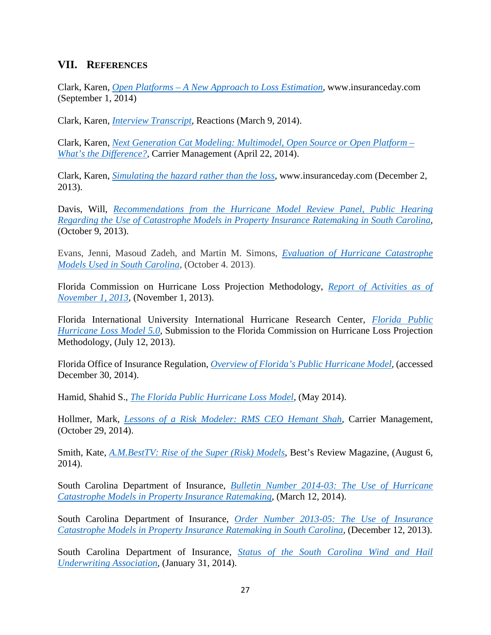#### **VII. REFERENCES**

Clark, Karen, *Open Platforms – A New Approach to Loss Estimation,* www.insuranceday.com (September 1, 2014)

Clark, Karen, *Interview Transcript,* Reactions (March 9, 2014).

Clark, Karen, *Next Generation Cat Modeling: Multimodel, Open Source or Open Platform – What's the Difference?,* Carrier Management (April 22, 2014).

Clark, Karen, *Simulating the hazard rather than the loss,* www.insuranceday.com (December 2, 2013).

Davis, Will, *Recommendations from the Hurricane Model Review Panel, Public Hearing Regarding the Use of Catastrophe Models in Property Insurance Ratemaking in South Carolina,*  (October 9, 2013).

Evans, Jenni, Masoud Zadeh, and Martin M. Simons, *Evaluation of Hurricane Catastrophe Models Used in South Carolina,* (October 4. 2013).

Florida Commission on Hurricane Loss Projection Methodology, *Report of Activities as of November 1, 2013,* (November 1, 2013).

Florida International University International Hurricane Research Center, *Florida Public Hurricane Loss Model 5.0,* Submission to the Florida Commission on Hurricane Loss Projection Methodology, (July 12, 2013).

Florida Office of Insurance Regulation, *Overview of Florida's Public Hurricane Model,* (accessed December 30, 2014).

Hamid, Shahid S., *The Florida Public Hurricane Loss Model,* (May 2014).

Hollmer, Mark, *Lessons of a Risk Modeler: RMS CEO Hemant Shah,* Carrier Management, (October 29, 2014).

Smith, Kate, *A.M.BestTV: Rise of the Super (Risk) Models*, Best's Review Magazine, (August 6, 2014).

South Carolina Department of Insurance, *Bulletin Number 2014-03: The Use of Hurricane Catastrophe Models in Property Insurance Ratemaking,* (March 12, 2014).

South Carolina Department of Insurance, *Order Number 2013-05: The Use of Insurance Catastrophe Models in Property Insurance Ratemaking in South Carolina, (December 12, 2013).* 

South Carolina Department of Insurance, *Status of the South Carolina Wind and Hail Underwriting Association,* (January 31, 2014).